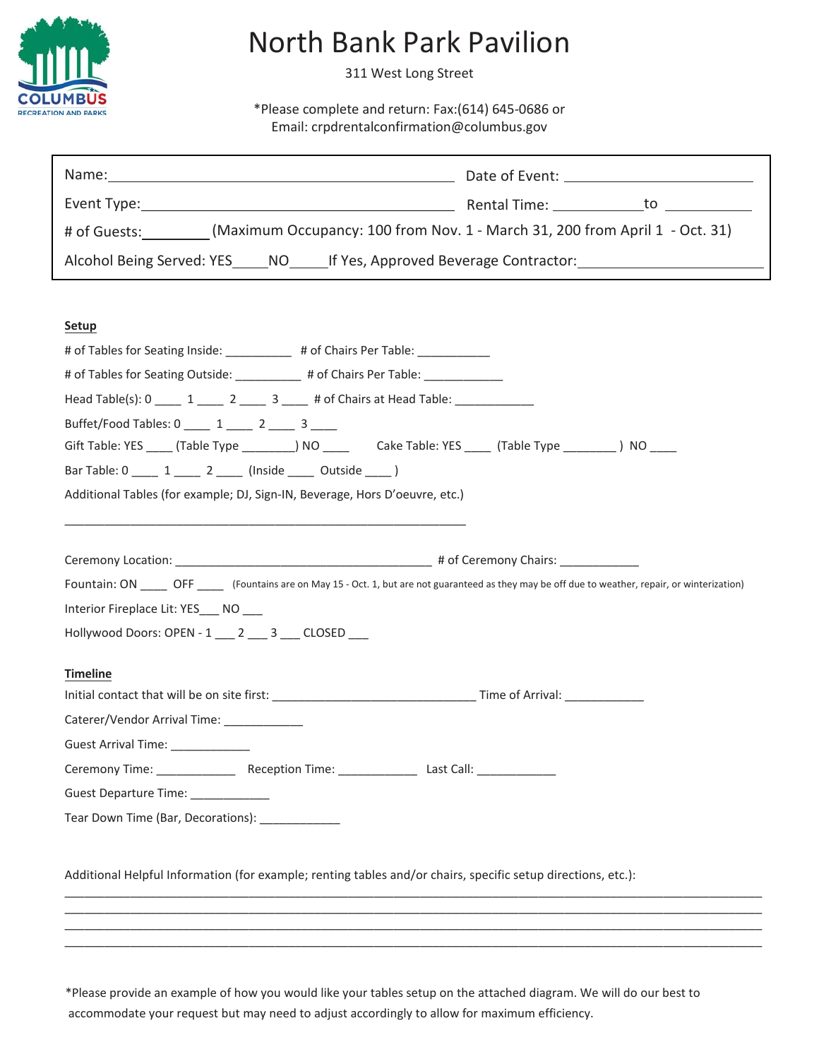

## North Bank Park Pavilion

311 West Long Street

\*Please complete and return: Fax:(614) 645-0686 or Email: [crpdrentalconfirmation@columbus.gov](mailto:crpdrentalconfirmation@columbus.gov)

| Name:                                                                                       |                                                  |
|---------------------------------------------------------------------------------------------|--------------------------------------------------|
|                                                                                             | Rental Time: __________________to ______________ |
| (Maximum Occupancy: 100 from Nov. 1 - March 31, 200 from April 1 - Oct. 31)<br># of Guests: |                                                  |
| Alcohol Being Served: YES NO If Yes, Approved Beverage Contractor:                          |                                                  |

## **Setup**

| # of Tables for Seating Inside: __________ # of Chairs Per Table: __________                                                                        |  |
|-----------------------------------------------------------------------------------------------------------------------------------------------------|--|
| # of Tables for Seating Outside: __________ # of Chairs Per Table: ____________                                                                     |  |
| Head Table(s): 0 _____ 1 _____ 2 _____ 3 ____ # of Chairs at Head Table: ____________                                                               |  |
| Buffet/Food Tables: 0 ____ 1 ____ 2 ___ 3 ___                                                                                                       |  |
| Gift Table: YES _____ (Table Type _________) NO __________ Cake Table: YES ______ (Table Type _________) NO ____                                    |  |
| Bar Table: 0 1 2 (Inside Outside )                                                                                                                  |  |
| Additional Tables (for example; DJ, Sign-IN, Beverage, Hors D'oeuvre, etc.)                                                                         |  |
|                                                                                                                                                     |  |
|                                                                                                                                                     |  |
| Fountain: ON _____ OFF _____ (Fountains are on May 15 - Oct. 1, but are not guaranteed as they may be off due to weather, repair, or winterization) |  |
|                                                                                                                                                     |  |
| Interior Fireplace Lit: YES NO                                                                                                                      |  |
| Hollywood Doors: OPEN - 1 2 3 CLOSED                                                                                                                |  |
| <b>Timeline</b>                                                                                                                                     |  |
|                                                                                                                                                     |  |
| Caterer/Vendor Arrival Time: __________                                                                                                             |  |
| Guest Arrival Time: _____________                                                                                                                   |  |
|                                                                                                                                                     |  |
| Guest Departure Time: _____________                                                                                                                 |  |
| Tear Down Time (Bar, Decorations): [1982]                                                                                                           |  |
|                                                                                                                                                     |  |
| Additional Helpful Information (for example; renting tables and/or chairs, specific setup directions, etc.):                                        |  |
|                                                                                                                                                     |  |

\*Please provide an example of how you would like your tables setup on the attached diagram. We will do our best to accommodate your request but may need to adjust accordingly to allow for maximum efficiency.

\_\_\_\_\_\_\_\_\_\_\_\_\_\_\_\_\_\_\_\_\_\_\_\_\_\_\_\_\_\_\_\_\_\_\_\_\_\_\_\_\_\_\_\_\_\_\_\_\_\_\_\_\_\_\_\_\_\_\_\_\_\_\_\_\_\_\_\_\_\_\_\_\_\_\_\_\_\_\_\_\_\_\_\_\_\_\_\_\_\_\_\_\_\_\_\_\_\_\_\_\_\_\_\_\_\_ \_\_\_\_\_\_\_\_\_\_\_\_\_\_\_\_\_\_\_\_\_\_\_\_\_\_\_\_\_\_\_\_\_\_\_\_\_\_\_\_\_\_\_\_\_\_\_\_\_\_\_\_\_\_\_\_\_\_\_\_\_\_\_\_\_\_\_\_\_\_\_\_\_\_\_\_\_\_\_\_\_\_\_\_\_\_\_\_\_\_\_\_\_\_\_\_\_\_\_\_\_\_\_\_\_\_